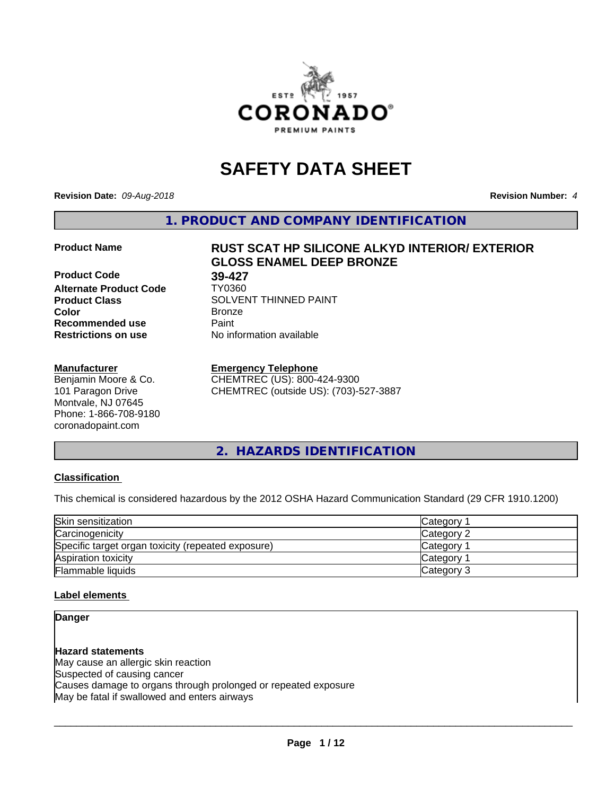

# **SAFETY DATA SHEET**

**Revision Date:** *09-Aug-2018* **Revision Number:** *4*

**1. PRODUCT AND COMPANY IDENTIFICATION**

**Product Code 68 199-427<br>Alternate Product Code 68 17Y0360 Alternate Product Code Recommended use Caint Restrictions on use** No information available

#### **Manufacturer**

Benjamin Moore & Co. 101 Paragon Drive Montvale, NJ 07645 Phone: 1-866-708-9180 coronadopaint.com

# **Product Name RUST SCAT HP SILICONE ALKYD INTERIOR/ EXTERIOR GLOSS ENAMEL DEEP BRONZE**

**Product Class** SOLVENT THINNED PAINT<br> **Color** Bronze **Color** Bronze

# **Emergency Telephone**

CHEMTREC (US): 800-424-9300 CHEMTREC (outside US): (703)-527-3887

**2. HAZARDS IDENTIFICATION**

# **Classification**

This chemical is considered hazardous by the 2012 OSHA Hazard Communication Standard (29 CFR 1910.1200)

| Skin sensitization                                 | Category   |
|----------------------------------------------------|------------|
| Carcinogenicity                                    | Category 2 |
| Specific target organ toxicity (repeated exposure) | Category   |
| Aspiration toxicity                                | Category   |
| Flammable liquids                                  | Category 3 |

# **Label elements**

# **Danger**

**Hazard statements** May cause an allergic skin reaction Suspected of causing cancer Causes damage to organs through prolonged or repeated exposure May be fatal if swallowed and enters airways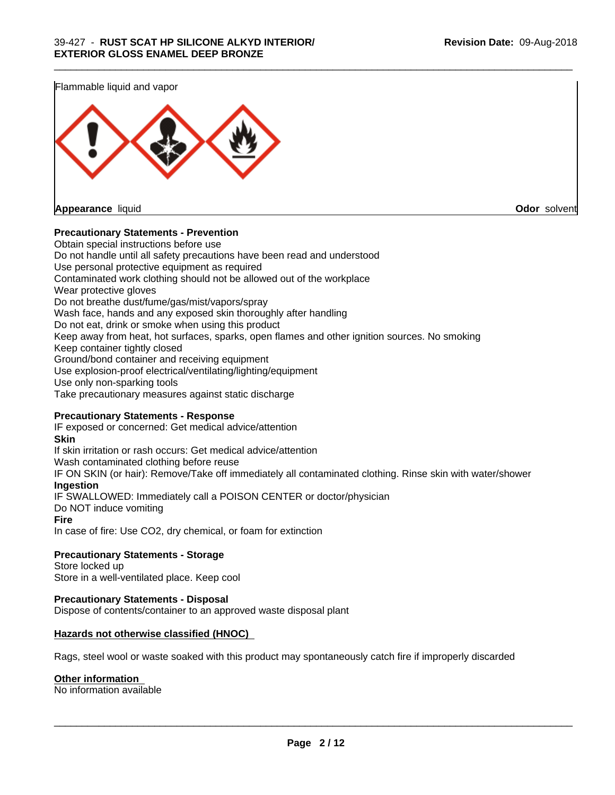Flammable liquid and vapor **Appearance** liquid **Odor** solvent

**Precautionary Statements - Prevention**

Obtain special instructions before use Do not handle until all safety precautions have been read and understood Use personal protective equipment as required Contaminated work clothing should not be allowed out of the workplace Wear protective gloves Do not breathe dust/fume/gas/mist/vapors/spray Wash face, hands and any exposed skin thoroughly after handling Do not eat, drink or smoke when using this product Keep away from heat, hot surfaces, sparks, open flames and other ignition sources. No smoking Keep container tightly closed Ground/bond container and receiving equipment Use explosion-proof electrical/ventilating/lighting/equipment Use only non-sparking tools Take precautionary measures against static discharge

\_\_\_\_\_\_\_\_\_\_\_\_\_\_\_\_\_\_\_\_\_\_\_\_\_\_\_\_\_\_\_\_\_\_\_\_\_\_\_\_\_\_\_\_\_\_\_\_\_\_\_\_\_\_\_\_\_\_\_\_\_\_\_\_\_\_\_\_\_\_\_\_\_\_\_\_\_\_\_\_\_\_\_\_\_\_\_\_\_\_\_\_\_

# **Precautionary Statements - Response**

IF exposed or concerned: Get medical advice/attention **Skin** If skin irritation or rash occurs: Get medical advice/attention Wash contaminated clothing before reuse IF ON SKIN (or hair): Remove/Take off immediately all contaminated clothing. Rinse skin with water/shower **Ingestion** IF SWALLOWED: Immediately call a POISON CENTER or doctor/physician Do NOT induce vomiting **Fire** In case of fire: Use CO2, dry chemical, or foam for extinction

**Precautionary Statements - Storage** Store locked up

Store in a well-ventilated place. Keep cool

# **Precautionary Statements - Disposal**

Dispose of contents/container to an approved waste disposal plant

# **Hazards not otherwise classified (HNOC)**

Rags, steel wool or waste soaked with this product may spontaneously catch fire if improperly discarded

# **Other information**

No information available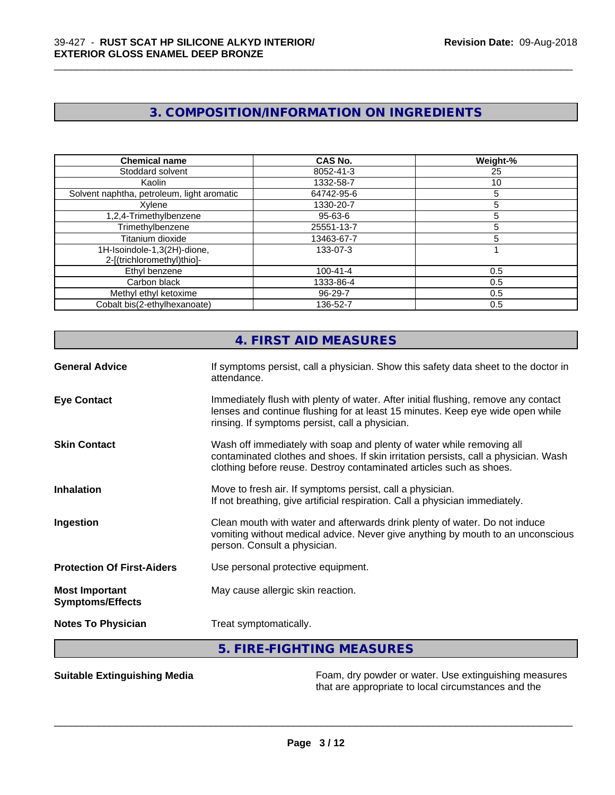# **3. COMPOSITION/INFORMATION ON INGREDIENTS**

\_\_\_\_\_\_\_\_\_\_\_\_\_\_\_\_\_\_\_\_\_\_\_\_\_\_\_\_\_\_\_\_\_\_\_\_\_\_\_\_\_\_\_\_\_\_\_\_\_\_\_\_\_\_\_\_\_\_\_\_\_\_\_\_\_\_\_\_\_\_\_\_\_\_\_\_\_\_\_\_\_\_\_\_\_\_\_\_\_\_\_\_\_

| <b>Chemical name</b>                                      | <b>CAS No.</b> | Weight-% |
|-----------------------------------------------------------|----------------|----------|
| Stoddard solvent                                          | 8052-41-3      | 25       |
| Kaolin                                                    | 1332-58-7      | 10       |
| Solvent naphtha, petroleum, light aromatic                | 64742-95-6     | 5        |
| Xylene                                                    | 1330-20-7      | 5        |
| 1,2,4-Trimethylbenzene                                    | $95 - 63 - 6$  | 5        |
| Trimethylbenzene                                          | 25551-13-7     | 5        |
| Titanium dioxide                                          | 13463-67-7     | 5        |
| 1H-Isoindole-1,3(2H)-dione,<br>2-[(trichloromethyl)thio]- | 133-07-3       |          |
| Ethyl benzene                                             | $100 - 41 - 4$ | 0.5      |
| Carbon black                                              | 1333-86-4      | 0.5      |
| Methyl ethyl ketoxime                                     | 96-29-7        | 0.5      |
| Cobalt bis(2-ethylhexanoate)                              | 136-52-7       | 0.5      |

|                                                  | 4. FIRST AID MEASURES                                                                                                                                                                                                               |
|--------------------------------------------------|-------------------------------------------------------------------------------------------------------------------------------------------------------------------------------------------------------------------------------------|
| <b>General Advice</b>                            | If symptoms persist, call a physician. Show this safety data sheet to the doctor in<br>attendance.                                                                                                                                  |
| <b>Eye Contact</b>                               | Immediately flush with plenty of water. After initial flushing, remove any contact<br>lenses and continue flushing for at least 15 minutes. Keep eye wide open while<br>rinsing. If symptoms persist, call a physician.             |
| <b>Skin Contact</b>                              | Wash off immediately with soap and plenty of water while removing all<br>contaminated clothes and shoes. If skin irritation persists, call a physician. Wash<br>clothing before reuse. Destroy contaminated articles such as shoes. |
| <b>Inhalation</b>                                | Move to fresh air. If symptoms persist, call a physician.<br>If not breathing, give artificial respiration. Call a physician immediately.                                                                                           |
| Ingestion                                        | Clean mouth with water and afterwards drink plenty of water. Do not induce<br>vomiting without medical advice. Never give anything by mouth to an unconscious<br>person. Consult a physician.                                       |
| <b>Protection Of First-Aiders</b>                | Use personal protective equipment.                                                                                                                                                                                                  |
| <b>Most Important</b><br><b>Symptoms/Effects</b> | May cause allergic skin reaction.                                                                                                                                                                                                   |
| <b>Notes To Physician</b>                        | Treat symptomatically.                                                                                                                                                                                                              |

# **5. FIRE-FIGHTING MEASURES**

**Suitable Extinguishing Media** Foam, dry powder or water. Use extinguishing measures that are appropriate to local circumstances and the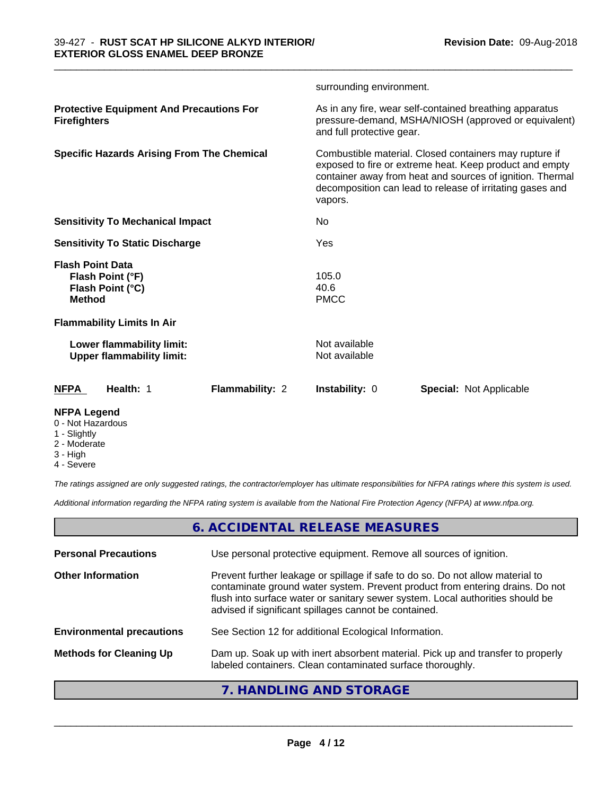|                                          |                                                               |                 | surrounding environment.       |                                                                                                                                                                                                                                             |
|------------------------------------------|---------------------------------------------------------------|-----------------|--------------------------------|---------------------------------------------------------------------------------------------------------------------------------------------------------------------------------------------------------------------------------------------|
| <b>Firefighters</b>                      | <b>Protective Equipment And Precautions For</b>               |                 | and full protective gear.      | As in any fire, wear self-contained breathing apparatus<br>pressure-demand, MSHA/NIOSH (approved or equivalent)                                                                                                                             |
|                                          | <b>Specific Hazards Arising From The Chemical</b>             |                 | vapors.                        | Combustible material. Closed containers may rupture if<br>exposed to fire or extreme heat. Keep product and empty<br>container away from heat and sources of ignition. Thermal<br>decomposition can lead to release of irritating gases and |
|                                          | <b>Sensitivity To Mechanical Impact</b>                       |                 | No.                            |                                                                                                                                                                                                                                             |
|                                          | <b>Sensitivity To Static Discharge</b>                        |                 | Yes                            |                                                                                                                                                                                                                                             |
| <b>Flash Point Data</b><br><b>Method</b> | Flash Point (°F)<br>Flash Point (°C)                          |                 | 105.0<br>40.6<br><b>PMCC</b>   |                                                                                                                                                                                                                                             |
|                                          | <b>Flammability Limits In Air</b>                             |                 |                                |                                                                                                                                                                                                                                             |
|                                          | Lower flammability limit:<br><b>Upper flammability limit:</b> |                 | Not available<br>Not available |                                                                                                                                                                                                                                             |
| <b>NFPA</b>                              | Health: 1                                                     | Flammability: 2 | <b>Instability: 0</b>          | <b>Special: Not Applicable</b>                                                                                                                                                                                                              |
| <b>NFPA Legend</b>                       |                                                               |                 |                                |                                                                                                                                                                                                                                             |

\_\_\_\_\_\_\_\_\_\_\_\_\_\_\_\_\_\_\_\_\_\_\_\_\_\_\_\_\_\_\_\_\_\_\_\_\_\_\_\_\_\_\_\_\_\_\_\_\_\_\_\_\_\_\_\_\_\_\_\_\_\_\_\_\_\_\_\_\_\_\_\_\_\_\_\_\_\_\_\_\_\_\_\_\_\_\_\_\_\_\_\_\_

- 0 Not Hazardous
- 1 Slightly
- 2 Moderate
- 3 High
- 4 Severe

*The ratings assigned are only suggested ratings, the contractor/employer has ultimate responsibilities for NFPA ratings where this system is used.*

*Additional information regarding the NFPA rating system is available from the National Fire Protection Agency (NFPA) at www.nfpa.org.*

# **6. ACCIDENTAL RELEASE MEASURES**

| <b>Personal Precautions</b>      | Use personal protective equipment. Remove all sources of ignition.                                                                                                                                                                                                                                         |
|----------------------------------|------------------------------------------------------------------------------------------------------------------------------------------------------------------------------------------------------------------------------------------------------------------------------------------------------------|
| <b>Other Information</b>         | Prevent further leakage or spillage if safe to do so. Do not allow material to<br>contaminate ground water system. Prevent product from entering drains. Do not<br>flush into surface water or sanitary sewer system. Local authorities should be<br>advised if significant spillages cannot be contained. |
| <b>Environmental precautions</b> | See Section 12 for additional Ecological Information.                                                                                                                                                                                                                                                      |
| <b>Methods for Cleaning Up</b>   | Dam up. Soak up with inert absorbent material. Pick up and transfer to properly<br>labeled containers. Clean contaminated surface thoroughly.                                                                                                                                                              |
|                                  | $\blacksquare$                                                                                                                                                                                                                                                                                             |

# **7. HANDLING AND STORAGE**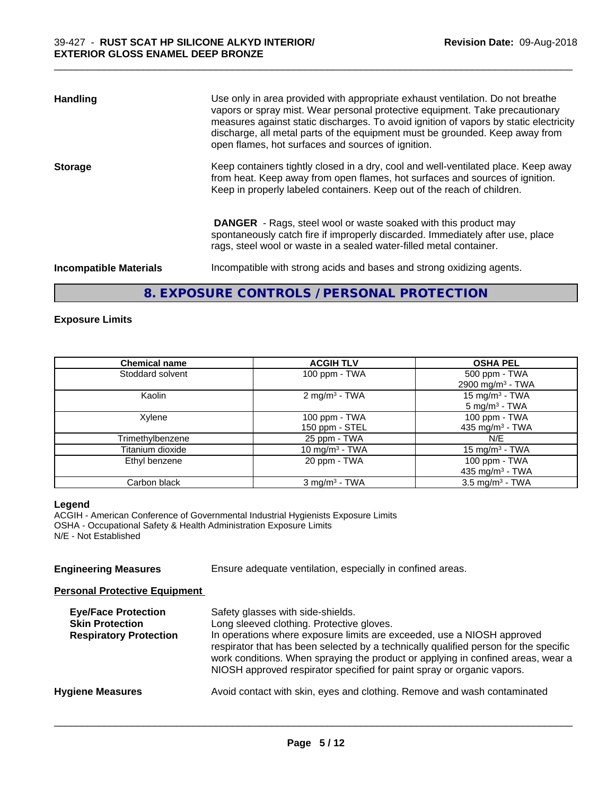| <b>Handling</b>               | Use only in area provided with appropriate exhaust ventilation. Do not breathe<br>vapors or spray mist. Wear personal protective equipment. Take precautionary<br>measures against static discharges. To avoid ignition of vapors by static electricity<br>discharge, all metal parts of the equipment must be grounded. Keep away from<br>open flames, hot surfaces and sources of ignition. |
|-------------------------------|-----------------------------------------------------------------------------------------------------------------------------------------------------------------------------------------------------------------------------------------------------------------------------------------------------------------------------------------------------------------------------------------------|
| <b>Storage</b>                | Keep containers tightly closed in a dry, cool and well-ventilated place. Keep away<br>from heat. Keep away from open flames, hot surfaces and sources of ignition.<br>Keep in properly labeled containers. Keep out of the reach of children.                                                                                                                                                 |
|                               | <b>DANGER</b> - Rags, steel wool or waste soaked with this product may<br>spontaneously catch fire if improperly discarded. Immediately after use, place<br>rags, steel wool or waste in a sealed water-filled metal container.                                                                                                                                                               |
| <b>Incompatible Materials</b> | Incompatible with strong acids and bases and strong oxidizing agents.                                                                                                                                                                                                                                                                                                                         |

# **8. EXPOSURE CONTROLS / PERSONAL PROTECTION**

# **Exposure Limits**

| <b>Chemical name</b> | <b>ACGIH TLV</b>            | <b>OSHA PEL</b>              |
|----------------------|-----------------------------|------------------------------|
| Stoddard solvent     | 100 ppm $-$ TWA             | 500 ppm - TWA                |
|                      |                             | 2900 mg/m <sup>3</sup> - TWA |
| Kaolin               | 2 mg/m <sup>3</sup> - TWA   | $15 \text{ mg/m}^3$ - TWA    |
|                      |                             | $5 \text{ mg/m}^3$ - TWA     |
| Xylene               | 100 ppm $-$ TWA             | 100 ppm - TWA                |
|                      | 150 ppm - STEL              | 435 mg/m <sup>3</sup> - TWA  |
| Trimethylbenzene     | 25 ppm - TWA                | N/E                          |
| Titanium dioxide     | 10 mg/m <sup>3</sup> - TWA  | 15 mg/m <sup>3</sup> - TWA   |
| Ethyl benzene        | 20 ppm - TWA                | 100 ppm - TWA                |
|                      |                             | 435 mg/m <sup>3</sup> - TWA  |
| Carbon black         | $3$ mg/m <sup>3</sup> - TWA | $3.5 \text{ mg/m}^3$ - TWA   |

#### **Legend**

ACGIH - American Conference of Governmental Industrial Hygienists Exposure Limits OSHA - Occupational Safety & Health Administration Exposure Limits N/E - Not Established

### **Engineering Measures** Ensure adequate ventilation, especially in confined areas.

#### **Personal Protective Equipment**

| <b>Eye/Face Protection</b><br><b>Skin Protection</b><br><b>Respiratory Protection</b> | Safety glasses with side-shields.<br>Long sleeved clothing. Protective gloves.<br>In operations where exposure limits are exceeded, use a NIOSH approved<br>respirator that has been selected by a technically qualified person for the specific<br>work conditions. When spraying the product or applying in confined areas, wear a<br>NIOSH approved respirator specified for paint spray or organic vapors. |
|---------------------------------------------------------------------------------------|----------------------------------------------------------------------------------------------------------------------------------------------------------------------------------------------------------------------------------------------------------------------------------------------------------------------------------------------------------------------------------------------------------------|
| <b>Hygiene Measures</b>                                                               | Avoid contact with skin, eyes and clothing. Remove and wash contaminated                                                                                                                                                                                                                                                                                                                                       |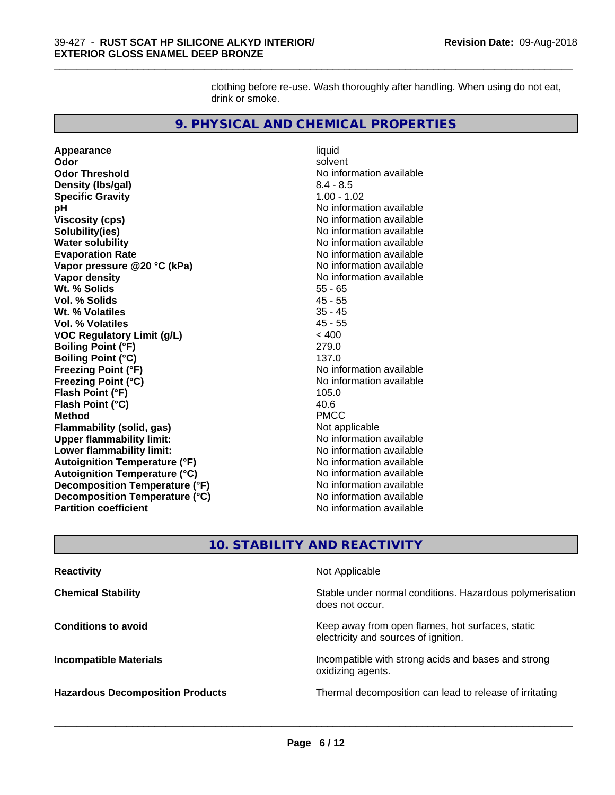clothing before re-use. Wash thoroughly after handling. When using do not eat, drink or smoke.

\_\_\_\_\_\_\_\_\_\_\_\_\_\_\_\_\_\_\_\_\_\_\_\_\_\_\_\_\_\_\_\_\_\_\_\_\_\_\_\_\_\_\_\_\_\_\_\_\_\_\_\_\_\_\_\_\_\_\_\_\_\_\_\_\_\_\_\_\_\_\_\_\_\_\_\_\_\_\_\_\_\_\_\_\_\_\_\_\_\_\_\_\_

# **9. PHYSICAL AND CHEMICAL PROPERTIES**

**Appearance** liquid **Odor** solvent **Odor Threshold** No information available **Density (lbs/gal)** 8.4 - 8.5 **Specific Gravity** 1.00 - 1.02 **pH pH**  $\blacksquare$ **Viscosity (cps)** No information available<br> **Solubility(ies)** No information available **Solubility(ies)**<br> **No information available**<br> **Water solubility**<br> **Water solubility Evaporation Rate Conservation Rate** No information available<br> **Vapor pressure @20 °C (kPa)** No information available **Vapor** pressure @20 °C (kPa) **Vapor density Vapor** density **Wt. % Solids** 55 - 65 **Vol. % Solids** 45 - 55 **Wt. % Volatiles Vol. % Volatiles** 45 - 55<br> **VOC Requiatory Limit (g/L)** 45 - 400 **VOC** Regulatory Limit (g/L) **Boiling Point (°F)** 279.0 **Boiling Point (°C)**<br> **Boiling Point (°F)**<br> **Preezing Point (°F)**<br> **Preezing Point (°F) Freezing Point (°F) Freezing Point (°C)** and **COV** No information available **Flash Point (°F)** 105.0 **Flash Point (°C) Method** PMCC **Flammability (solid, gas)** Not applicable and the solution of the solution of the solution of the solution of the solution of the solution of the solution of the solution of the solution of the solution of the solution of **Upper flammability limit: Lower flammability limit:** No information available **No information** available **Autoignition Temperature (°F)**<br> **Autoignition Temperature (°C)** No information available **Autoignition Temperature (°C) Decomposition Temperature (°F)** No information available<br> **Decomposition Temperature (°C)** No information available **Decomposition Temperature (°C)**<br>Partition coefficient

**No information available No information available** 

# **10. STABILITY AND REACTIVITY**

| <b>Reactivity</b>                       | Not Applicable                                                                           |
|-----------------------------------------|------------------------------------------------------------------------------------------|
| <b>Chemical Stability</b>               | Stable under normal conditions. Hazardous polymerisation<br>does not occur.              |
| <b>Conditions to avoid</b>              | Keep away from open flames, hot surfaces, static<br>electricity and sources of ignition. |
| <b>Incompatible Materials</b>           | Incompatible with strong acids and bases and strong<br>oxidizing agents.                 |
| <b>Hazardous Decomposition Products</b> | Thermal decomposition can lead to release of irritating                                  |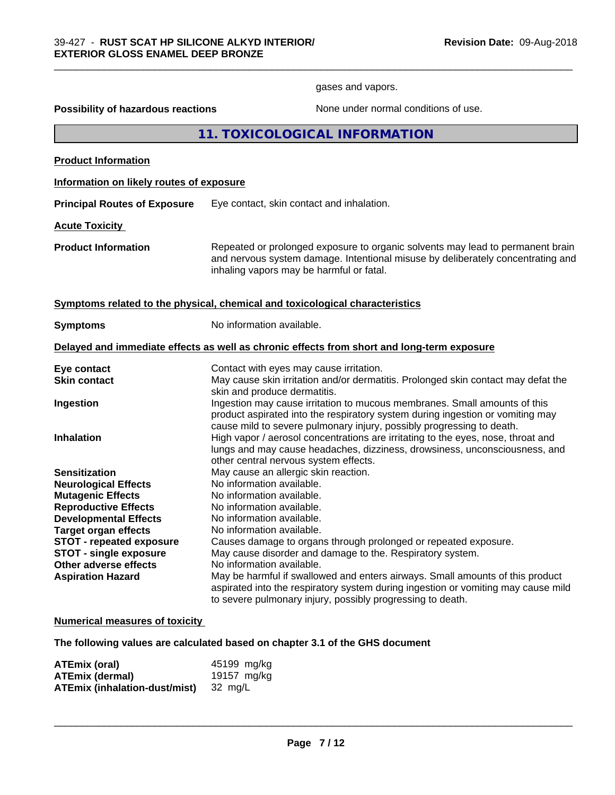gases and vapors.

\_\_\_\_\_\_\_\_\_\_\_\_\_\_\_\_\_\_\_\_\_\_\_\_\_\_\_\_\_\_\_\_\_\_\_\_\_\_\_\_\_\_\_\_\_\_\_\_\_\_\_\_\_\_\_\_\_\_\_\_\_\_\_\_\_\_\_\_\_\_\_\_\_\_\_\_\_\_\_\_\_\_\_\_\_\_\_\_\_\_\_\_\_

**Possibility of hazardous reactions** None under normal conditions of use.

**11. TOXICOLOGICAL INFORMATION**

**Product Information**

# **Information on likely routes of exposure**

**Principal Routes of Exposure** Eye contact, skin contact and inhalation.

**Acute Toxicity** 

**Product Information** Repeated or prolonged exposure to organic solvents may lead to permanent brain and nervous system damage. Intentional misuse by deliberately concentrating and inhaling vapors may be harmful or fatal.

# **Symptoms related to the physical, chemical and toxicological characteristics**

| <b>Symptoms</b>                 | No information available.                                                                                                                                                                                                            |
|---------------------------------|--------------------------------------------------------------------------------------------------------------------------------------------------------------------------------------------------------------------------------------|
|                                 | Delayed and immediate effects as well as chronic effects from short and long-term exposure                                                                                                                                           |
| Eye contact                     | Contact with eyes may cause irritation.                                                                                                                                                                                              |
| Skin contact                    | May cause skin irritation and/or dermatitis. Prolonged skin contact may defat the<br>skin and produce dermatitis.                                                                                                                    |
| Ingestion                       | Ingestion may cause irritation to mucous membranes. Small amounts of this<br>product aspirated into the respiratory system during ingestion or vomiting may<br>cause mild to severe pulmonary injury, possibly progressing to death. |
| <b>Inhalation</b>               | High vapor / aerosol concentrations are irritating to the eyes, nose, throat and<br>lungs and may cause headaches, dizziness, drowsiness, unconsciousness, and<br>other central nervous system effects.                              |
| <b>Sensitization</b>            | May cause an allergic skin reaction.                                                                                                                                                                                                 |
| <b>Neurological Effects</b>     | No information available.                                                                                                                                                                                                            |
| <b>Mutagenic Effects</b>        | No information available.                                                                                                                                                                                                            |
| <b>Reproductive Effects</b>     | No information available.                                                                                                                                                                                                            |
| <b>Developmental Effects</b>    | No information available.                                                                                                                                                                                                            |
| <b>Target organ effects</b>     | No information available.                                                                                                                                                                                                            |
| <b>STOT - repeated exposure</b> | Causes damage to organs through prolonged or repeated exposure.                                                                                                                                                                      |
| <b>STOT - single exposure</b>   | May cause disorder and damage to the. Respiratory system.                                                                                                                                                                            |
| Other adverse effects           | No information available.                                                                                                                                                                                                            |
| <b>Aspiration Hazard</b>        | May be harmful if swallowed and enters airways. Small amounts of this product<br>aspirated into the respiratory system during ingestion or vomiting may cause mild<br>to severe pulmonary injury, possibly progressing to death.     |

#### **Numerical measures of toxicity**

**The following values are calculated based on chapter 3.1 of the GHS document**

| ATEmix (oral)                         | 45199 mg/kg |
|---------------------------------------|-------------|
| <b>ATEmix (dermal)</b>                | 19157 mg/kg |
| ATEmix (inhalation-dust/mist) 32 mg/L |             |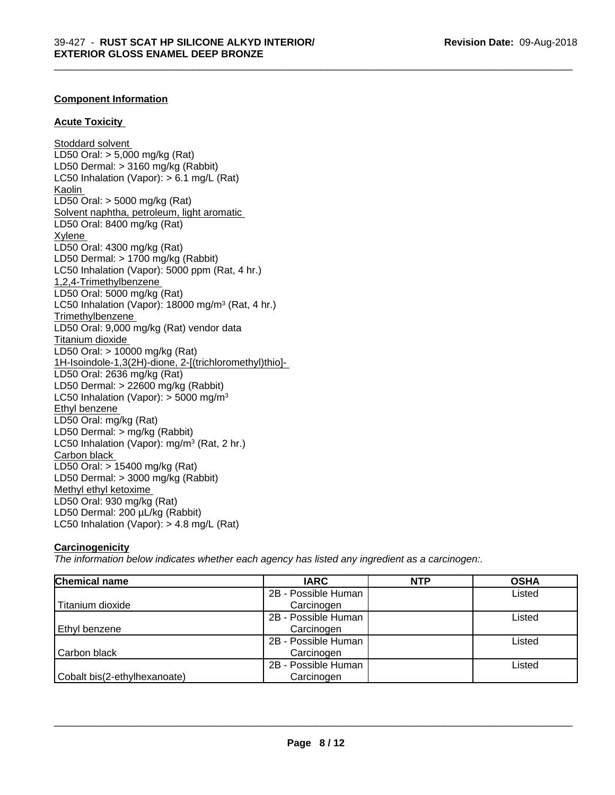\_\_\_\_\_\_\_\_\_\_\_\_\_\_\_\_\_\_\_\_\_\_\_\_\_\_\_\_\_\_\_\_\_\_\_\_\_\_\_\_\_\_\_\_\_\_\_\_\_\_\_\_\_\_\_\_\_\_\_\_\_\_\_\_\_\_\_\_\_\_\_\_\_\_\_\_\_\_\_\_\_\_\_\_\_\_\_\_\_\_\_\_\_

# **Component Information**

# **Acute Toxicity**

**Stoddard solvent** LD50 Oral: > 5,000 mg/kg (Rat) LD50 Dermal: > 3160 mg/kg (Rabbit) LC50 Inhalation (Vapor): > 6.1 mg/L (Rat) Kaolin LD50 Oral: > 5000 mg/kg (Rat) Solvent naphtha, petroleum, light aromatic LD50 Oral: 8400 mg/kg (Rat) Xylene LD50 Oral: 4300 mg/kg (Rat) LD50 Dermal: > 1700 mg/kg (Rabbit) LC50 Inhalation (Vapor): 5000 ppm (Rat, 4 hr.) 1,2,4-Trimethylbenzene LD50 Oral: 5000 mg/kg (Rat) LC50 Inhalation (Vapor): 18000 mg/m<sup>3</sup> (Rat, 4 hr.) **Trimethylbenzene** LD50 Oral: 9,000 mg/kg (Rat) vendor data Titanium dioxide LD50 Oral: > 10000 mg/kg (Rat) 1H-Isoindole-1,3(2H)-dione, 2-[(trichloromethyl)thio]- LD50 Oral: 2636 mg/kg (Rat) LD50 Dermal: > 22600 mg/kg (Rabbit) LC50 Inhalation (Vapor):  $>$  5000 mg/m<sup>3</sup> Ethyl benzene LD50 Oral: mg/kg (Rat) LD50 Dermal: > mg/kg (Rabbit) LC50 Inhalation (Vapor): mg/m<sup>3</sup> (Rat, 2 hr.) Carbon black LD50 Oral: > 15400 mg/kg (Rat) LD50 Dermal: > 3000 mg/kg (Rabbit) Methyl ethyl ketoxime LD50 Oral: 930 mg/kg (Rat) LD50 Dermal: 200 µL/kg (Rabbit) LC50 Inhalation (Vapor): > 4.8 mg/L (Rat)

# **Carcinogenicity**

*The information below indicateswhether each agency has listed any ingredient as a carcinogen:.*

| Chemical name                | <b>IARC</b>         | <b>NTP</b> | <b>OSHA</b> |
|------------------------------|---------------------|------------|-------------|
|                              | 2B - Possible Human |            | Listed      |
| Titanium dioxide             | Carcinogen          |            |             |
|                              | 2B - Possible Human |            | Listed      |
| Ethyl benzene                | Carcinogen          |            |             |
|                              | 2B - Possible Human |            | Listed      |
| Carbon black                 | Carcinogen          |            |             |
|                              | 2B - Possible Human |            | Listed      |
| Cobalt bis(2-ethylhexanoate) | Carcinogen          |            |             |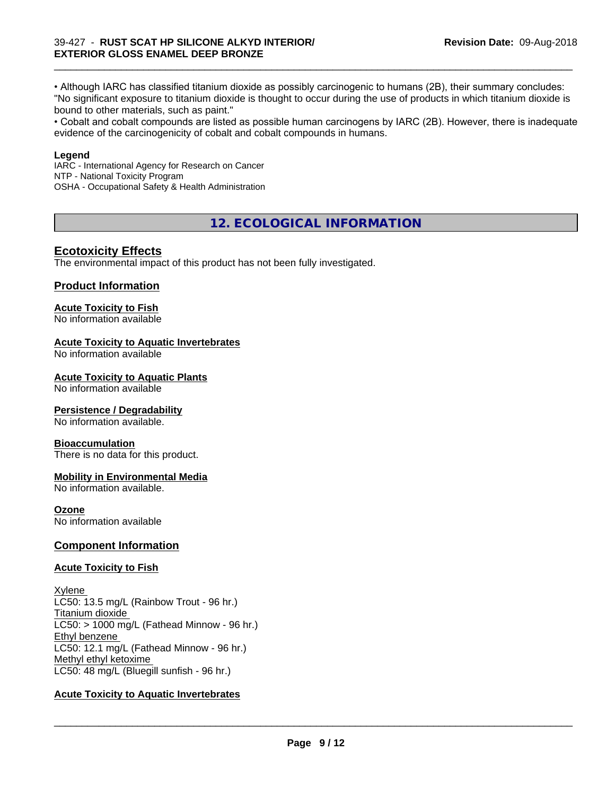• Although IARC has classified titanium dioxide as possibly carcinogenic to humans (2B), their summary concludes: "No significant exposure to titanium dioxide is thought to occur during the use of products in which titanium dioxide is bound to other materials, such as paint."

\_\_\_\_\_\_\_\_\_\_\_\_\_\_\_\_\_\_\_\_\_\_\_\_\_\_\_\_\_\_\_\_\_\_\_\_\_\_\_\_\_\_\_\_\_\_\_\_\_\_\_\_\_\_\_\_\_\_\_\_\_\_\_\_\_\_\_\_\_\_\_\_\_\_\_\_\_\_\_\_\_\_\_\_\_\_\_\_\_\_\_\_\_

• Cobalt and cobalt compounds are listed as possible human carcinogens by IARC (2B). However, there is inadequate evidence of the carcinogenicity of cobalt and cobalt compounds in humans.

### **Legend**

IARC - International Agency for Research on Cancer NTP - National Toxicity Program OSHA - Occupational Safety & Health Administration

**12. ECOLOGICAL INFORMATION**

# **Ecotoxicity Effects**

The environmental impact of this product has not been fully investigated.

# **Product Information**

# **Acute Toxicity to Fish**

No information available

# **Acute Toxicity to Aquatic Invertebrates**

No information available

#### **Acute Toxicity to Aquatic Plants**

No information available

# **Persistence / Degradability**

No information available.

# **Bioaccumulation**

There is no data for this product.

# **Mobility in Environmental Media**

No information available.

#### **Ozone**

No information available

# **Component Information**

# **Acute Toxicity to Fish**

Xylene LC50: 13.5 mg/L (Rainbow Trout - 96 hr.) Titanium dioxide  $LC50:$  > 1000 mg/L (Fathead Minnow - 96 hr.) Ethyl benzene LC50: 12.1 mg/L (Fathead Minnow - 96 hr.) Methyl ethyl ketoxime LC50: 48 mg/L (Bluegill sunfish - 96 hr.)

# **Acute Toxicity to Aquatic Invertebrates**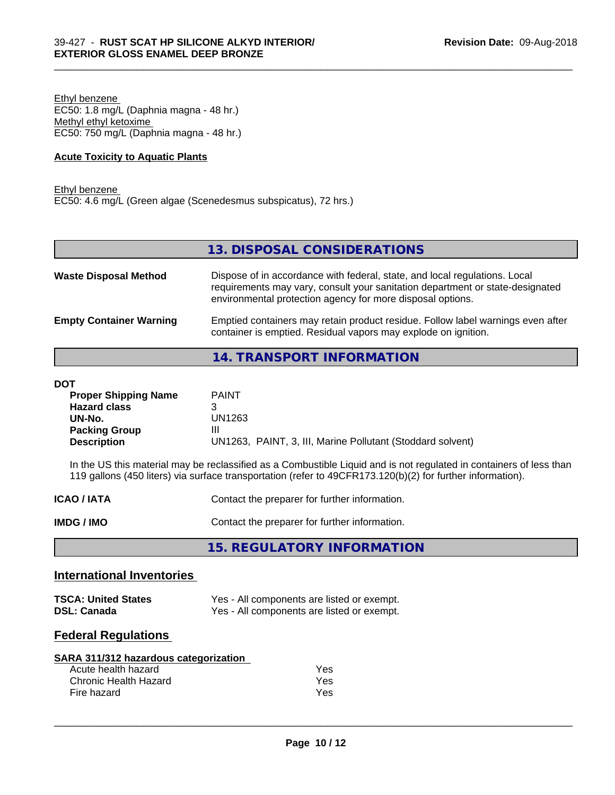Ethyl benzene EC50: 1.8 mg/L (Daphnia magna - 48 hr.) Methyl ethyl ketoxime EC50: 750 mg/L (Daphnia magna - 48 hr.)

### **Acute Toxicity to Aquatic Plants**

Ethyl benzene EC50: 4.6 mg/L (Green algae (Scenedesmus subspicatus), 72 hrs.)

**13. DISPOSAL CONSIDERATIONS**

\_\_\_\_\_\_\_\_\_\_\_\_\_\_\_\_\_\_\_\_\_\_\_\_\_\_\_\_\_\_\_\_\_\_\_\_\_\_\_\_\_\_\_\_\_\_\_\_\_\_\_\_\_\_\_\_\_\_\_\_\_\_\_\_\_\_\_\_\_\_\_\_\_\_\_\_\_\_\_\_\_\_\_\_\_\_\_\_\_\_\_\_\_

| <b>Waste Disposal Method</b>   | Dispose of in accordance with federal, state, and local regulations. Local<br>requirements may vary, consult your sanitation department or state-designated<br>environmental protection agency for more disposal options. |
|--------------------------------|---------------------------------------------------------------------------------------------------------------------------------------------------------------------------------------------------------------------------|
| <b>Empty Container Warning</b> | Emptied containers may retain product residue. Follow label warnings even after<br>container is emptied. Residual vapors may explode on ignition.                                                                         |

# **14. TRANSPORT INFORMATION**

#### **DOT**

| <b>Proper Shipping Name</b> | <b>PAINT</b>                                               |
|-----------------------------|------------------------------------------------------------|
| <b>Hazard class</b>         |                                                            |
| UN-No.                      | UN1263                                                     |
| <b>Packing Group</b>        | Ш                                                          |
| <b>Description</b>          | UN1263, PAINT, 3, III, Marine Pollutant (Stoddard solvent) |

In the US this material may be reclassified as a Combustible Liquid and is not regulated in containers of less than 119 gallons (450 liters) via surface transportation (refer to 49CFR173.120(b)(2) for further information).

**IMDG / IMO** Contact the preparer for further information.

**15. REGULATORY INFORMATION**

# **International Inventories**

| <b>TSCA: United States</b> | Yes - All components are listed or exempt. |
|----------------------------|--------------------------------------------|
| <b>DSL: Canada</b>         | Yes - All components are listed or exempt. |

# **Federal Regulations**

| SARA 311/312 hazardous categorization |     |  |
|---------------------------------------|-----|--|
| Acute health hazard                   | Yes |  |
| Chronic Health Hazard                 | Yes |  |
| Fire hazard                           | Yes |  |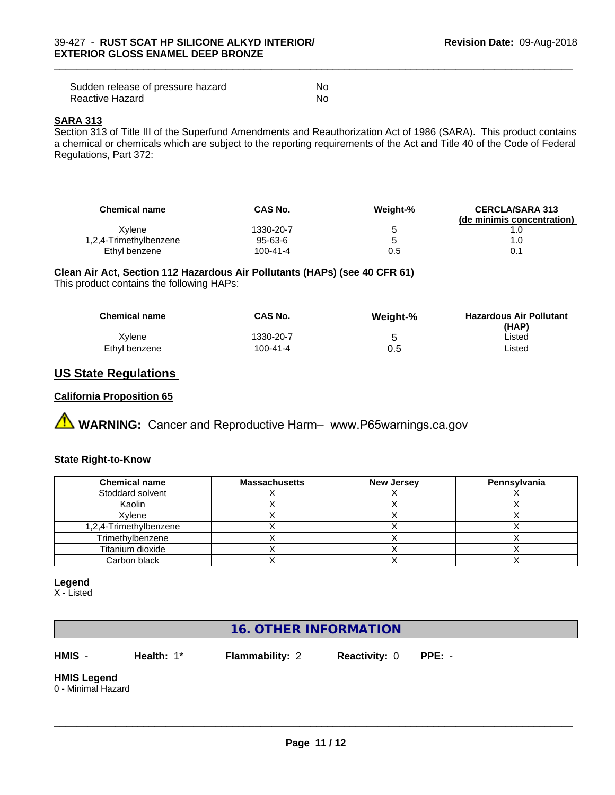| Sudden release of pressure hazard | No |
|-----------------------------------|----|
| Reactive Hazard                   | No |

#### **SARA 313**

Section 313 of Title III of the Superfund Amendments and Reauthorization Act of 1986 (SARA). This product contains a chemical or chemicals which are subject to the reporting requirements of the Act and Title 40 of the Code of Federal Regulations, Part 372:

\_\_\_\_\_\_\_\_\_\_\_\_\_\_\_\_\_\_\_\_\_\_\_\_\_\_\_\_\_\_\_\_\_\_\_\_\_\_\_\_\_\_\_\_\_\_\_\_\_\_\_\_\_\_\_\_\_\_\_\_\_\_\_\_\_\_\_\_\_\_\_\_\_\_\_\_\_\_\_\_\_\_\_\_\_\_\_\_\_\_\_\_\_

| <b>Chemical name</b>   | <b>CAS No.</b> | Weight-% | <b>CERCLA/SARA 313</b><br>(de minimis concentration) |
|------------------------|----------------|----------|------------------------------------------------------|
| Xvlene                 | 1330-20-7      | u        |                                                      |
| 1,2,4-Trimethylbenzene | 95-63-6        | ∽        |                                                      |
| Ethyl benzene          | $100 - 41 - 4$ | 0.5      | 0.1                                                  |

### **Clean Air Act,Section 112 Hazardous Air Pollutants (HAPs) (see 40 CFR 61)**

This product contains the following HAPs:

| <b>Chemical name</b> | <b>CAS No.</b> | Weight-% | <b>Hazardous Air Pollutant</b><br>(HAP) |
|----------------------|----------------|----------|-----------------------------------------|
| Xvlene               | 1330-20-7      |          | Listed                                  |
| Ethyl benzene        | 100-41-4       | 0.5      | ∟isted                                  |

# **US State Regulations**

### **California Proposition 65**

# **A WARNING:** Cancer and Reproductive Harm– www.P65warnings.ca.gov

# **State Right-to-Know**

| <b>Chemical name</b>   | <b>Massachusetts</b> | <b>New Jersey</b> | Pennsylvania |
|------------------------|----------------------|-------------------|--------------|
| Stoddard solvent       |                      |                   |              |
| Kaolin                 |                      |                   |              |
| Xvlene                 |                      |                   |              |
| 1,2,4-Trimethylbenzene |                      |                   |              |
| Trimethylbenzene       |                      |                   |              |
| Titanium dioxide       |                      |                   |              |
| Carbon black           |                      |                   |              |

#### **Legend**

X - Listed

# **16. OTHER INFORMATION**

**HMIS** - **Health:** 1\* **Flammability:** 2 **Reactivity:** 0 **PPE:** -

 $\overline{\phantom{a}}$  ,  $\overline{\phantom{a}}$  ,  $\overline{\phantom{a}}$  ,  $\overline{\phantom{a}}$  ,  $\overline{\phantom{a}}$  ,  $\overline{\phantom{a}}$  ,  $\overline{\phantom{a}}$  ,  $\overline{\phantom{a}}$  ,  $\overline{\phantom{a}}$  ,  $\overline{\phantom{a}}$  ,  $\overline{\phantom{a}}$  ,  $\overline{\phantom{a}}$  ,  $\overline{\phantom{a}}$  ,  $\overline{\phantom{a}}$  ,  $\overline{\phantom{a}}$  ,  $\overline{\phantom{a}}$ 

**HMIS Legend**

0 - Minimal Hazard